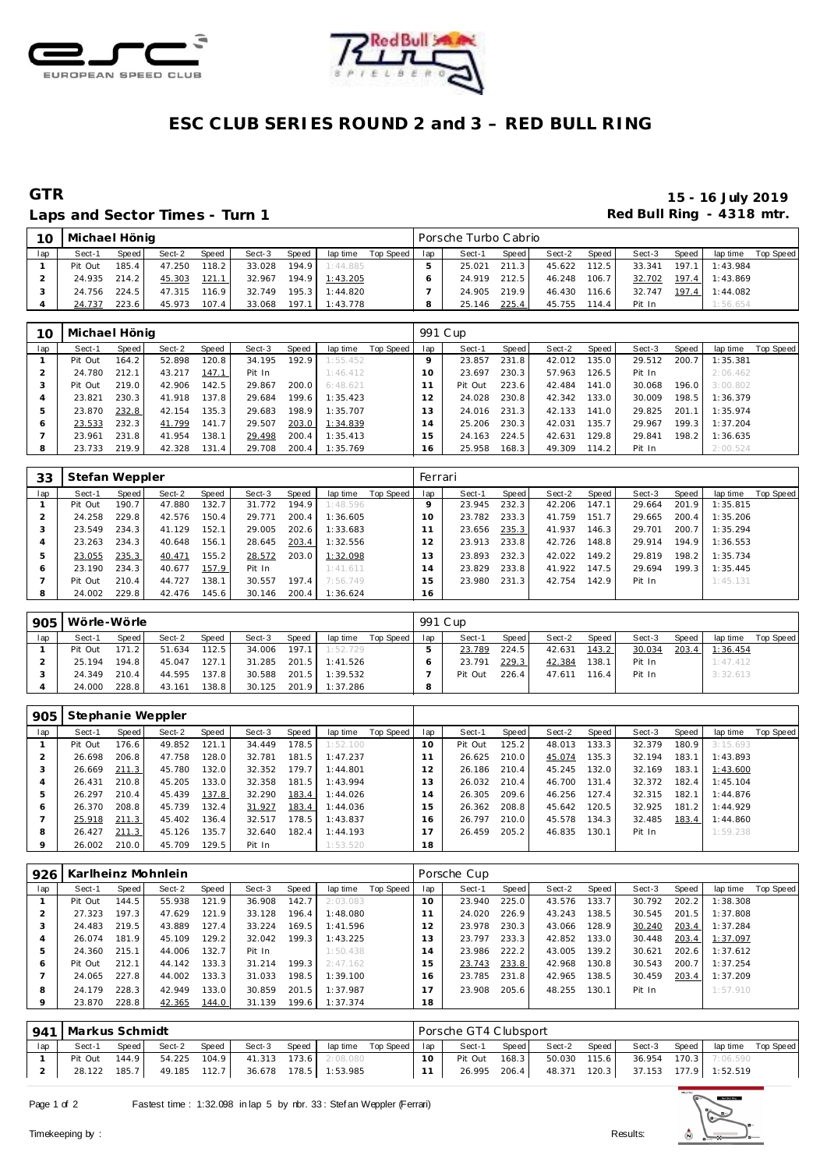



### **ESC CLUB SERIES ROUND 2 and 3 – RED BULL RING**

Laps and Sector Times - Turn 1 **Example 20 and Sector Times - Turn 1 Red Bull Ring - 4318 mtr.** 

# **GTR 15 - 16 July 2019**

| 10  | Michael Hönig |       |        |       |        |       |          |           |     | Porsche Turbo Cabrio |       |        |        |        |       |          |           |
|-----|---------------|-------|--------|-------|--------|-------|----------|-----------|-----|----------------------|-------|--------|--------|--------|-------|----------|-----------|
| lap | Sect-1        | Speed | Sect-2 | Speed | Sect-3 | Speed | lap time | Top Speed | lap | Sect-1               | Speed | Sect-2 | Speed  | Sect-3 | Speed | lap time | Top Speed |
|     | Pit Out       | 185.4 | 47.250 | 118.2 | 33.028 | 194.9 | 1:44.885 |           |     | 25.021               | 211.3 | 45.622 | 112.5  | 33.341 | 197.1 | 1:43.984 |           |
|     | 24.935        | 214.2 | 45.303 | 121.1 | 32.967 | 194.9 | 1:43.205 |           |     | 24.919               | 212.5 | 46.248 | 106.71 | 32.702 | 197.4 | 1:43.869 |           |
|     | 24.756        | 224.5 | 47.315 | 116.9 | 32.749 | 195.3 | 1:44.820 |           |     | 24.905               | 219.9 | 46.430 | 116.6  | 32.747 | 197.4 | 1:44.082 |           |
|     | 24.737        | 223.6 | 45.973 | 107.4 | 33.068 | 197.1 | 1:43.778 |           |     | 25.146               | 225.4 | 45.755 | 114.4  | Pit In |       | 1:56.654 |           |

| 10  | Michael Hönig |       |        |       |        |                    |          |           | 991 C up |         |       |        |       |        |       |          |           |
|-----|---------------|-------|--------|-------|--------|--------------------|----------|-----------|----------|---------|-------|--------|-------|--------|-------|----------|-----------|
| lap | Sect-1        | Speed | Sect-2 | Speed | Sect-3 | Speed              | lap time | Top Speed | lap      | Sect-1  | Speed | Sect-2 | Speed | Sect-3 | Speed | lap time | Top Speed |
|     | Pit Out       | 164.2 | 52.898 | 120.8 | 34.195 | 192.9              | 1:55.452 |           |          | 23.857  | 231.8 | 42.012 | 135.0 | 29.512 | 200.7 | 1:35.381 |           |
|     | 24.780        | 212.1 | 43.217 | 147.1 | Pit In |                    | 1:46.412 |           | 10       | 23.697  | 230.3 | 57.963 | 126.5 | Pit In |       | 2:06.462 |           |
|     | Pit Out       | 219.0 | 42.906 | 142.5 | 29.867 | 200.0              | 6:48.621 |           |          | Pit Out | 223.6 | 42.484 | 141.0 | 30.068 | 196.0 | 3:00.802 |           |
| 4   | 23.821        | 230.3 | 41.918 | 137.8 | 29.684 | 199.6              | 1:35.423 |           |          | 24.028  | 230.8 | 42.342 | 133.0 | 30.009 | 198.5 | 1:36.379 |           |
|     | 23.870        | 232.8 | 42.154 | 135.3 | 29.683 | 198.9 <sub>1</sub> | 1:35.707 |           | 13       | 24.016  | 231.3 | 42.133 | 141.0 | 29.825 | 201.1 | 1:35.974 |           |
| 6   | 23.533        | 232.3 | 41.799 | 141.7 | 29.507 | 203.0              | 1:34.839 |           | 14       | 25.206  | 230.3 | 42.031 | 135.7 | 29.967 | 199.3 | 1:37.204 |           |
|     | 23.961        | 231.8 | 41.954 | 138.1 | 29.498 | 200.4              | 1:35.413 |           | 15       | 24.163  | 224.5 | 42.631 | 129.8 | 29.841 | 198.2 | 1:36.635 |           |
| 8   | 23.733        | 219.9 | 42.328 | 131.4 | 29.708 | 200.4              | 1:35.769 |           | 16       | 25.958  | 168.3 | 49.309 | 114.2 | Pit In |       | 2:00.524 |           |

| 33  | Stefan Weppler |       |        |       |        |       |          |           | Ferrari |        |         |        |       |        |       |          |           |
|-----|----------------|-------|--------|-------|--------|-------|----------|-----------|---------|--------|---------|--------|-------|--------|-------|----------|-----------|
| lap | Sect-1         | Speed | Sect-2 | Speed | Sect-3 | Speed | lap time | Top Speed | lap     | Sect-1 | Speed I | Sect-2 | Speed | Sect-3 | Speed | lap time | Top Speed |
|     | Pit Out        | 190.7 | 47.880 | 132.7 | 31.772 | 194.9 | 1:48.596 |           |         | 23.945 | 232.3   | 42.206 | 147.1 | 29.664 | 201.9 | 1:35.815 |           |
|     | 24.258         | 229.8 | 42.576 | 150.4 | 29.771 | 200.4 | 1:36.605 |           | 10      | 23.782 | 233.3   | 41.759 | 151.7 | 29.665 | 200.4 | 1:35.206 |           |
| -3  | 23.549         | 234.3 | 41.129 | 152.1 | 29.005 | 202.6 | 1:33.683 |           |         | 23.656 | 235.3   | 41.937 | 146.3 | 29.701 | 200.7 | 1:35.294 |           |
|     | 23.263         | 234.3 | 40.648 | 156.1 | 28.645 | 203.4 | 1:32.556 |           | 2       | 23.913 | 233.8   | 42.726 | 148.8 | 29.914 | 194.9 | 1:36.553 |           |
| b   | 23.055         | 235.3 | 40.471 | 155.2 | 28.572 | 203.0 | 1:32.098 |           |         | 23.893 | 232.3   | 42.022 | 149.2 | 29.819 | 198.2 | 1:35.734 |           |
| O   | 23.190         | 234.3 | 40.677 | 157.9 | Pit In |       | 1:41.611 |           | 4       | 23.829 | 233.8   | 41.922 | 147.5 | 29.694 | 199.3 | 1:35.445 |           |
|     | Pit Out        | 210.4 | 44.727 | 138.1 | 30.557 | 197.4 | 7:56.749 |           | 5       | 23.980 | 231.3   | 42.754 | 142.9 | Pit In |       | 1:45.131 |           |
| 8   | 24.002         | 229.8 | 42.476 | 145.6 | 30.146 | 200.4 | 1:36.624 |           | 6،      |        |         |        |       |        |       |          |           |

| 905 | Wörle-Wörle |       |        |        |        |       |          |           | 991 Cup |         |       |        |       |        |       |          |           |
|-----|-------------|-------|--------|--------|--------|-------|----------|-----------|---------|---------|-------|--------|-------|--------|-------|----------|-----------|
| lap | Sect-1      | Speed | Sect-2 | Speed  | Sect-3 | Speed | lap time | Top Speed | lap     | Sect-1  | Speed | Sect-2 | Speed | Sect-3 | Speed | lap time | Top Speed |
|     | Pit Out     | 171.2 | 51.634 | 112.5  | 34.006 | 197.1 | 1:52.729 |           |         | 23.789  | 224.5 | 42.631 | 143.2 | 30.034 | 203.4 | 1:36.454 |           |
|     | 25.194      | 194.8 | 45.047 | 127.1  | 31.285 | 201.5 | 1:41.526 |           |         | 23.791  | 229.3 | 42.384 | 138.1 | Pit In |       | 1:47.412 |           |
|     | 24.349      | 210.4 | 44.595 | 137.8  | 30.588 | 201.5 | 1:39.532 |           |         | Pit Out | 226.4 | 47.611 | 116.4 | Pit In |       | 3:32.613 |           |
|     | 24.000      | 228.8 | 43.161 | 138.81 | 30.125 | 201.9 | 1:37.286 |           |         |         |       |        |       |        |       |          |           |

| 905     | Stephanie Weppler |         |        |       |        |       |          |           |                |         |       |        |       |        |       |          |           |
|---------|-------------------|---------|--------|-------|--------|-------|----------|-----------|----------------|---------|-------|--------|-------|--------|-------|----------|-----------|
| lap     | Sect-1            | Speed I | Sect-2 | Speed | Sect-3 | Speed | lap time | Top Speed | lap            | Sect-1  | Speed | Sect-2 | Speed | Sect-3 | Speed | lap time | Top Speed |
|         | Pit Out           | 176.6   | 49.852 | 121.1 | 34.449 | 178.5 | 1:52.100 |           | $10^{-}$       | Pit Out | 125.2 | 48.013 | 133.3 | 32.379 | 180.9 | 3:15.693 |           |
|         | 26.698            | 206.8   | 47.758 | 128.0 | 32.781 | 181.5 | 1:47.237 |           |                | 26.625  | 210.0 | 45.074 | 135.3 | 32.194 | 183.1 | 1:43.893 |           |
| -3      | 26.669            | 211.3   | 45.780 | 132.0 | 32.352 | 179.7 | 1:44.801 |           |                | 26.186  | 210.4 | 45.245 | 132.0 | 32.169 | 183.1 | 1:43.600 |           |
|         | 26.431            | 210.8   | 45.205 | 133.0 | 32.358 | 181.5 | 1:43.994 |           | 13             | 26.032  | 210.4 | 46.700 | 131.4 | 32.372 | 182.4 | 1:45.104 |           |
| 5       | 26.297            | 210.4   | 45.439 | 137.8 | 32.290 | 183.4 | 1:44.026 |           | $\overline{4}$ | 26.305  | 209.6 | 46.256 | 127.4 | 32.315 | 182.1 | 1:44.876 |           |
| $\circ$ | 26.370            | 208.8   | 45.739 | 132.4 | 31.927 | 183.4 | 1:44.036 |           | 5              | 26.362  | 208.8 | 45.642 | 120.5 | 32.925 | 181.2 | 1:44.929 |           |
|         | 25.918            | 211.3   | 45.402 | 136.4 | 32.517 | 178.5 | 1:43.837 |           | 16             | 26.797  | 210.0 | 45.578 | 134.3 | 32.485 | 183.4 | 1:44.860 |           |
| 8       | 26.427            | 211.3   | 45.126 | 135.7 | 32.640 | 182.4 | 1:44.193 |           |                | 26.459  | 205.2 | 46.835 | 130.1 | Pit In |       | 1:59.238 |           |
|         | 26.002            | 210.0   | 45.709 | 129.5 | Pit In |       | 1:53.520 |           | 18             |         |       |        |       |        |       |          |           |

| 926     |         |         | Karlheinz Mohnlein |                    |        |       |          |           |              | Porsche Cup |       |        |       |        |       |          |                  |
|---------|---------|---------|--------------------|--------------------|--------|-------|----------|-----------|--------------|-------------|-------|--------|-------|--------|-------|----------|------------------|
| lap     | Sect-1  | Speed ! | Sect-2             | Speed              | Sect-3 | Speed | lap time | Top Speed | lap          | Sect-1      | Speed | Sect-2 | Speed | Sect-3 | Speed | lap time | <b>Top Speed</b> |
|         | Pit Out | 144.5   | 55.938             | 121.9 <sub>1</sub> | 36.908 | 142.7 | 2:03.083 |           | 10           | 23.940      | 225.0 | 43.576 | 133.7 | 30.792 | 202.2 | 1:38.308 |                  |
|         | 27.323  | 197.3   | 47.629             | 121.9              | 33.128 | 196.4 | 1:48.080 |           |              | 24.020      | 226.9 | 43.243 | 138.5 | 30.545 | 201.5 | 1:37.808 |                  |
| 3       | 24.483  | 219.5   | 43.889             | 127.4              | 33.224 | 169.5 | 1:41.596 |           | 2            | 23.978      | 230.3 | 43.066 | 128.9 | 30.240 | 203.4 | 1:37.284 |                  |
|         | 26.074  | 181.9   | 45.109             | 129.2              | 32.042 | 199.3 | 1:43.225 |           | 3            | 23.797      | 233.3 | 42.852 | 133.0 | 30.448 | 203.4 | 1:37.097 |                  |
| 5       | 24.360  | 215.1   | 44.006             | 132.7              | Pit In |       | 1:50.438 |           | <sup>4</sup> | 23.986      | 222.2 | 43.005 | 139.2 | 30.621 | 202.6 | 1:37.612 |                  |
| O       | Pit Out | 212.1   | 44.142             | 133.3              | 31.214 | 199.3 | 2:47.162 |           | -5           | 23.743      | 233.8 | 42.968 | 130.8 | 30.543 | 200.7 | 1:37.254 |                  |
|         | 24.065  | 227.8   | 44.002             | 133.3              | 31.033 | 198.5 | 1:39.100 |           | 6            | 23.785      | 231.8 | 42.965 | 138.5 | 30.459 | 203.4 | 1:37.209 |                  |
| 8       | 24.179  | 228.3   | 42.949             | 133.0              | 30.859 | 201.5 | 1:37.987 |           |              | 23.908      | 205.6 | 48.255 | 130.1 | Pit In |       | 1:57.910 |                  |
| $\circ$ | 23.870  | 228.8   | 42.365             | 144.0              | 31.139 | 199.6 | 1:37.374 |           | 18           |             |       |        |       |        |       |          |                  |

|     | 941   Markus Schmidt |       |        |       |              |       |                       |                       |           | Porsche GT4 Clubsport |       |              |       |        |       |                       |                    |
|-----|----------------------|-------|--------|-------|--------------|-------|-----------------------|-----------------------|-----------|-----------------------|-------|--------------|-------|--------|-------|-----------------------|--------------------|
| lap | Sect-1               | Speed | Sect-2 | Speed | Sect-3       | Speed |                       | laptime Top Speed lap |           | Sect-1                | Speed | Sect-2       | Speed | Sect-3 | Speed |                       | lap time Top Speed |
|     | Pit Out              | 144.9 | 54.225 | 104.9 | 41.313 173.6 |       | 2:08.080              |                       | $10^{-1}$ | Pit Out               | 168.3 | 50.030 115.6 |       |        |       | 36.954 170.3 7:06.590 |                    |
|     | 28.122               | 185.7 | 49.185 | 112.7 |              |       | 36.678 178.5 1:53.985 |                       |           | 26.995                | 206.4 | 48.371       | 120.3 |        |       | 37.153 177.9 1:52.519 |                    |